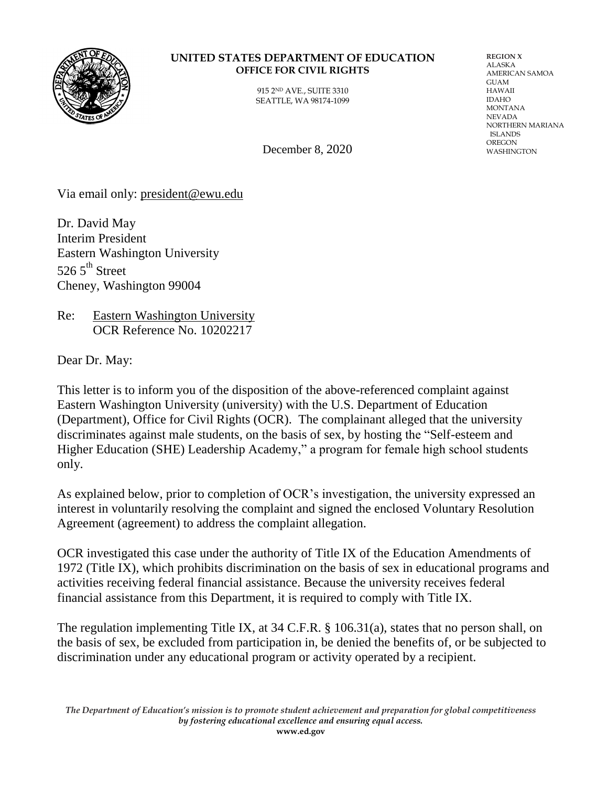

## **UNITED STATES DEPARTMENT OF EDUCATION OFFICE FOR CIVIL RIGHTS**

915 2ND AVE., SUITE 3310 SEATTLE, WA 98174-1099 **REGION X** ALASKA AMERICAN SAMOA GUAM HAWAII IDAHO MONTANA NEVADA NORTHERN MARIANA ISLANDS OREGON<br>WASHINGTON

December 8,  $2020$ 

Via email only: [president@ewu.edu](mailto:president@ewu.edu)

Dr. David May Interim President Eastern Washington University 526.5 $th$  Street Cheney, Washington 99004

Re: Eastern Washington University OCR Reference No. 10202217

Dear Dr. May:

This letter is to inform you of the disposition of the above-referenced complaint against Eastern Washington University (university) with the U.S. Department of Education (Department), Office for Civil Rights (OCR). The complainant alleged that the university discriminates against male students, on the basis of sex, by hosting the ["Self-esteem and](https://inside.ewu.edu/diversityandinclusion/she-leadership-academy/)  [Higher Education \(SHE\) Leadership Academy,](https://inside.ewu.edu/diversityandinclusion/she-leadership-academy/)" a program for female high school students only.

As explained below, prior to completion of OCR's investigation, the university expressed an interest in voluntarily resolving the complaint and signed the enclosed Voluntary Resolution Agreement (agreement) to address the complaint allegation.

OCR investigated this case under the authority of Title IX of the Education Amendments of 1972 (Title IX), which prohibits discrimination on the basis of sex in educational programs and activities receiving federal financial assistance. Because the university receives federal financial assistance from this Department, it is required to comply with Title IX.

The regulation implementing Title IX, at 34 C.F.R. § 106.31(a), states that no person shall, on the basis of sex, be excluded from participation in, be denied the benefits of, or be subjected to discrimination under any educational program or activity operated by a recipient.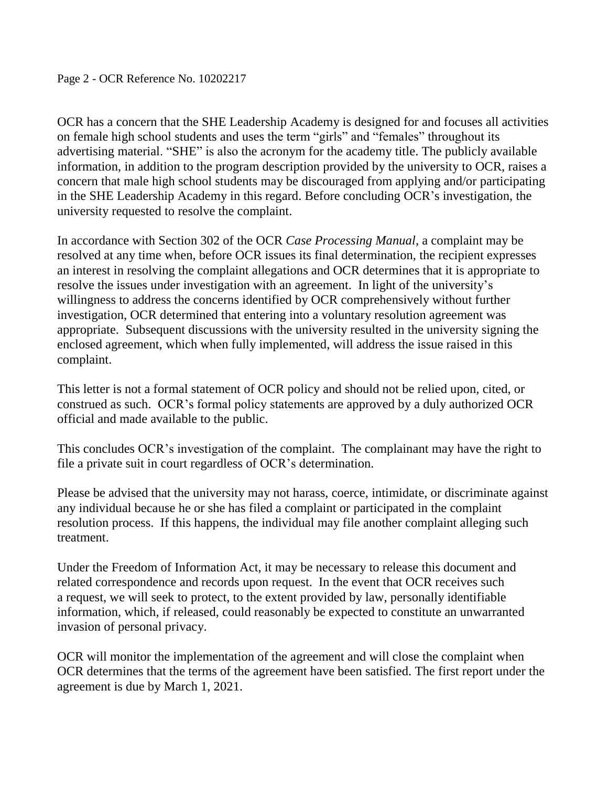OCR has a concern that the SHE Leadership Academy is designed for and focuses all activities on female high school students and uses the term "girls" and "females" throughout its advertising material. "SHE" is also the acronym for the academy title. The publicly available information, in addition to the program description provided by the university to OCR, raises a concern that male high school students may be discouraged from applying and/or participating in the SHE Leadership Academy in this regard. Before concluding OCR's investigation, the university requested to resolve the complaint.

In accordance with Section 302 of the OCR *Case Processing Manual*, a complaint may be resolved at any time when, before OCR issues its final determination, the recipient expresses an interest in resolving the complaint allegations and OCR determines that it is appropriate to resolve the issues under investigation with an agreement. In light of the university's willingness to address the concerns identified by OCR comprehensively without further investigation, OCR determined that entering into a voluntary resolution agreement was appropriate. Subsequent discussions with the university resulted in the university signing the enclosed agreement, which when fully implemented, will address the issue raised in this complaint.

This letter is not a formal statement of OCR policy and should not be relied upon, cited, or construed as such. OCR's formal policy statements are approved by a duly authorized OCR official and made available to the public.

This concludes OCR's investigation of the complaint. The complainant may have the right to file a private suit in court regardless of OCR's determination.

Please be advised that the university may not harass, coerce, intimidate, or discriminate against any individual because he or she has filed a complaint or participated in the complaint resolution process. If this happens, the individual may file another complaint alleging such treatment.

Under the Freedom of Information Act, it may be necessary to release this document and related correspondence and records upon request. In the event that OCR receives such a request, we will seek to protect, to the extent provided by law, personally identifiable information, which, if released, could reasonably be expected to constitute an unwarranted invasion of personal privacy.

OCR will monitor the implementation of the agreement and will close the complaint when OCR determines that the terms of the agreement have been satisfied. The first report under the agreement is due by March 1, 2021.